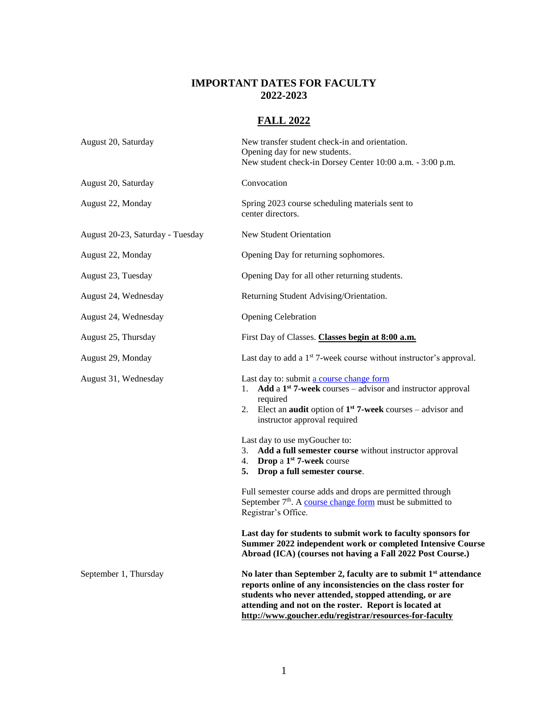#### **IMPORTANT DATES FOR FACULTY 2022-2023**

# **FALL 2022**

| August 20, Saturday              | New transfer student check-in and orientation.<br>Opening day for new students.<br>New student check-in Dorsey Center 10:00 a.m. - 3:00 p.m.                                                                                                                                                                              |
|----------------------------------|---------------------------------------------------------------------------------------------------------------------------------------------------------------------------------------------------------------------------------------------------------------------------------------------------------------------------|
| August 20, Saturday              | Convocation                                                                                                                                                                                                                                                                                                               |
| August 22, Monday                | Spring 2023 course scheduling materials sent to<br>center directors.                                                                                                                                                                                                                                                      |
| August 20-23, Saturday - Tuesday | New Student Orientation                                                                                                                                                                                                                                                                                                   |
| August 22, Monday                | Opening Day for returning sophomores.                                                                                                                                                                                                                                                                                     |
| August 23, Tuesday               | Opening Day for all other returning students.                                                                                                                                                                                                                                                                             |
| August 24, Wednesday             | Returning Student Advising/Orientation.                                                                                                                                                                                                                                                                                   |
| August 24, Wednesday             | <b>Opening Celebration</b>                                                                                                                                                                                                                                                                                                |
| August 25, Thursday              | First Day of Classes. Classes begin at 8:00 a.m.                                                                                                                                                                                                                                                                          |
| August 29, Monday                | Last day to add a 1 <sup>st</sup> 7-week course without instructor's approval.                                                                                                                                                                                                                                            |
| August 31, Wednesday             | Last day to: submit a course change form<br>Add a $1st$ 7-week courses – advisor and instructor approval<br>1.<br>required<br>2. Elect an <b>audit</b> option of $1st$ 7-week courses – advisor and<br>instructor approval required                                                                                       |
|                                  | Last day to use myGoucher to:<br>Add a full semester course without instructor approval<br>3.<br>Drop a 1 <sup>st</sup> 7-week course<br>4.<br>Drop a full semester course.<br>5.                                                                                                                                         |
|                                  | Full semester course adds and drops are permitted through<br>September $7th$ . A course change form must be submitted to<br>Registrar's Office.                                                                                                                                                                           |
|                                  | Last day for students to submit work to faculty sponsors for<br>Summer 2022 independent work or completed Intensive Course<br>Abroad (ICA) (courses not having a Fall 2022 Post Course.)                                                                                                                                  |
| September 1, Thursday            | No later than September 2, faculty are to submit 1 <sup>st</sup> attendance<br>reports online of any inconsistencies on the class roster for<br>students who never attended, stopped attending, or are<br>attending and not on the roster. Report is located at<br>http://www.goucher.edu/registrar/resources-for-faculty |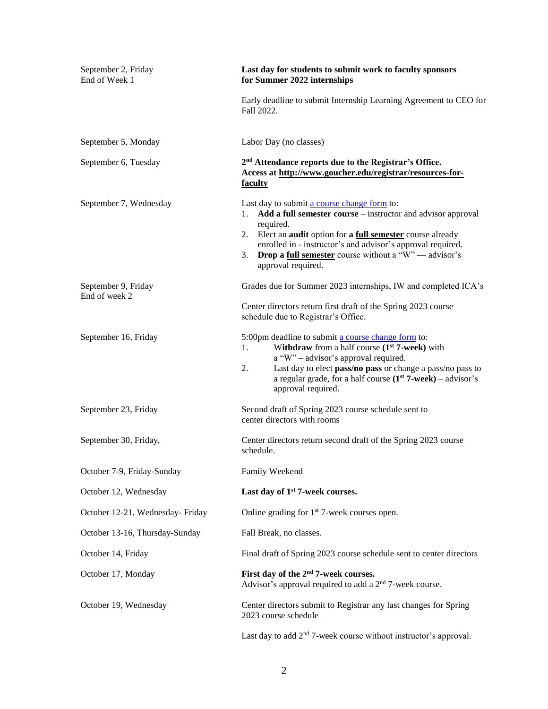| September 2, Friday<br>End of Week 1 | Last day for students to submit work to faculty sponsors<br>for Summer 2022 internships                                                                                                                                                                                                                                                                                       |
|--------------------------------------|-------------------------------------------------------------------------------------------------------------------------------------------------------------------------------------------------------------------------------------------------------------------------------------------------------------------------------------------------------------------------------|
|                                      | Early deadline to submit Internship Learning Agreement to CEO for<br>Fall 2022.                                                                                                                                                                                                                                                                                               |
| September 5, Monday                  | Labor Day (no classes)                                                                                                                                                                                                                                                                                                                                                        |
| September 6, Tuesday                 | 2 <sup>nd</sup> Attendance reports due to the Registrar's Office.<br>Access at http://www.goucher.edu/registrar/resources-for-<br>faculty                                                                                                                                                                                                                                     |
| September 7, Wednesday               | Last day to submit a course change form to:<br>Add a full semester course - instructor and advisor approval<br>1.<br>required.<br>2. Elect an <b>audit</b> option for <b>a <u>full semester</u></b> course already<br>enrolled in - instructor's and advisor's approval required.<br><b>Drop a full semester</b> course without a "W" — advisor's<br>3.<br>approval required. |
| September 9, Friday<br>End of week 2 | Grades due for Summer 2023 internships, IW and completed ICA's<br>Center directors return first draft of the Spring 2023 course<br>schedule due to Registrar's Office.                                                                                                                                                                                                        |
| September 16, Friday                 | 5:00pm deadline to submit a course change form to:<br>Withdraw from a half course $(1st 7$ -week) with<br>1.<br>a "W" - advisor's approval required.<br>Last day to elect pass/no pass or change a pass/no pass to<br>2.<br>a regular grade, for a half course $(1st 7$ -week) – advisor's<br>approval required.                                                              |
| September 23, Friday                 | Second draft of Spring 2023 course schedule sent to<br>center directors with rooms                                                                                                                                                                                                                                                                                            |
| September 30, Friday,                | Center directors return second draft of the Spring 2023 course<br>schedule.                                                                                                                                                                                                                                                                                                   |
| October 7-9, Friday-Sunday           | Family Weekend                                                                                                                                                                                                                                                                                                                                                                |
| October 12, Wednesday                | Last day of 1 <sup>st</sup> 7-week courses.                                                                                                                                                                                                                                                                                                                                   |
| October 12-21, Wednesday- Friday     | Online grading for $1st$ 7-week courses open.                                                                                                                                                                                                                                                                                                                                 |
| October 13-16, Thursday-Sunday       | Fall Break, no classes.                                                                                                                                                                                                                                                                                                                                                       |
| October 14, Friday                   | Final draft of Spring 2023 course schedule sent to center directors                                                                                                                                                                                                                                                                                                           |
| October 17, Monday                   | First day of the 2 <sup>nd</sup> 7-week courses.<br>Advisor's approval required to add a 2 <sup>nd</sup> 7-week course.                                                                                                                                                                                                                                                       |
| October 19, Wednesday                | Center directors submit to Registrar any last changes for Spring<br>2023 course schedule                                                                                                                                                                                                                                                                                      |
|                                      | Last day to add $2nd$ 7-week course without instructor's approval.                                                                                                                                                                                                                                                                                                            |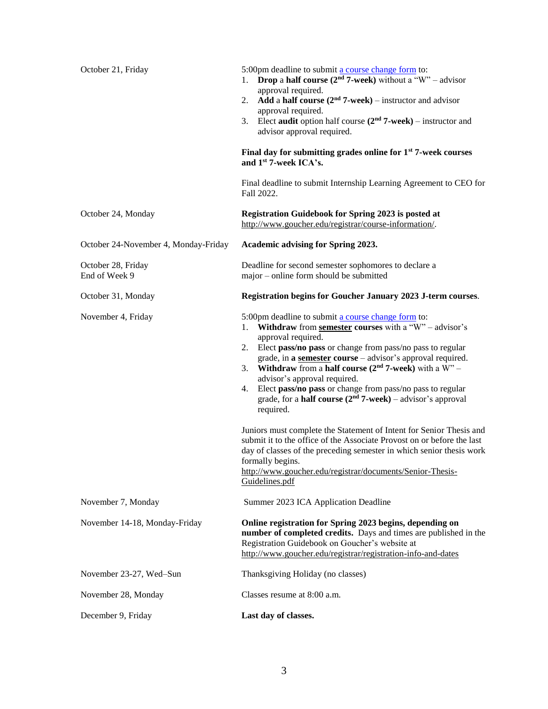| October 21, Friday                   | 5:00pm deadline to submit a course change form to:<br><b>Drop a half course (2<sup>nd</sup> 7-week)</b> without a "W" – advisor<br>1.<br>approval required.<br>Add a half course $(2nd 7$ -week) – instructor and advisor<br>2.<br>approval required.<br>Elect audit option half course $(2nd 7$ -week) – instructor and<br>3.<br>advisor approval required.<br>Final day for submitting grades online for $1st$ 7-week courses<br>and 1st 7-week ICA's.<br>Final deadline to submit Internship Learning Agreement to CEO for                                                                                                                                                                                                                                                                                                                                 |
|--------------------------------------|---------------------------------------------------------------------------------------------------------------------------------------------------------------------------------------------------------------------------------------------------------------------------------------------------------------------------------------------------------------------------------------------------------------------------------------------------------------------------------------------------------------------------------------------------------------------------------------------------------------------------------------------------------------------------------------------------------------------------------------------------------------------------------------------------------------------------------------------------------------|
| October 24, Monday                   | Fall 2022.<br>Registration Guidebook for Spring 2023 is posted at<br>http://www.goucher.edu/registrar/course-information/.                                                                                                                                                                                                                                                                                                                                                                                                                                                                                                                                                                                                                                                                                                                                    |
| October 24-November 4, Monday-Friday | Academic advising for Spring 2023.                                                                                                                                                                                                                                                                                                                                                                                                                                                                                                                                                                                                                                                                                                                                                                                                                            |
| October 28, Friday<br>End of Week 9  | Deadline for second semester sophomores to declare a<br>major - online form should be submitted                                                                                                                                                                                                                                                                                                                                                                                                                                                                                                                                                                                                                                                                                                                                                               |
| October 31, Monday                   | Registration begins for Goucher January 2023 J-term courses.                                                                                                                                                                                                                                                                                                                                                                                                                                                                                                                                                                                                                                                                                                                                                                                                  |
| November 4, Friday                   | 5:00pm deadline to submit a course change form to:<br>Withdraw from semester courses with a "W" - advisor's<br>1.<br>approval required.<br>2.<br>Elect pass/no pass or change from pass/no pass to regular<br>grade, in a semester course – advisor's approval required.<br>Withdraw from a half course $(2nd 7$ -week) with a W" –<br>3.<br>advisor's approval required.<br>Elect pass/no pass or change from pass/no pass to regular<br>4.<br>grade, for a <b>half course</b> $(2nd 7$ -week) – advisor's approval<br>required.<br>Juniors must complete the Statement of Intent for Senior Thesis and<br>submit it to the office of the Associate Provost on or before the last<br>day of classes of the preceding semester in which senior thesis work<br>formally begins.<br>http://www.goucher.edu/registrar/documents/Senior-Thesis-<br>Guidelines.pdf |
| November 7, Monday                   | Summer 2023 ICA Application Deadline                                                                                                                                                                                                                                                                                                                                                                                                                                                                                                                                                                                                                                                                                                                                                                                                                          |
| November 14-18, Monday-Friday        | Online registration for Spring 2023 begins, depending on<br>number of completed credits. Days and times are published in the<br>Registration Guidebook on Goucher's website at<br>http://www.goucher.edu/registrar/registration-info-and-dates                                                                                                                                                                                                                                                                                                                                                                                                                                                                                                                                                                                                                |
| November 23-27, Wed-Sun              | Thanksgiving Holiday (no classes)                                                                                                                                                                                                                                                                                                                                                                                                                                                                                                                                                                                                                                                                                                                                                                                                                             |
| November 28, Monday                  | Classes resume at 8:00 a.m.                                                                                                                                                                                                                                                                                                                                                                                                                                                                                                                                                                                                                                                                                                                                                                                                                                   |
| December 9, Friday                   | Last day of classes.                                                                                                                                                                                                                                                                                                                                                                                                                                                                                                                                                                                                                                                                                                                                                                                                                                          |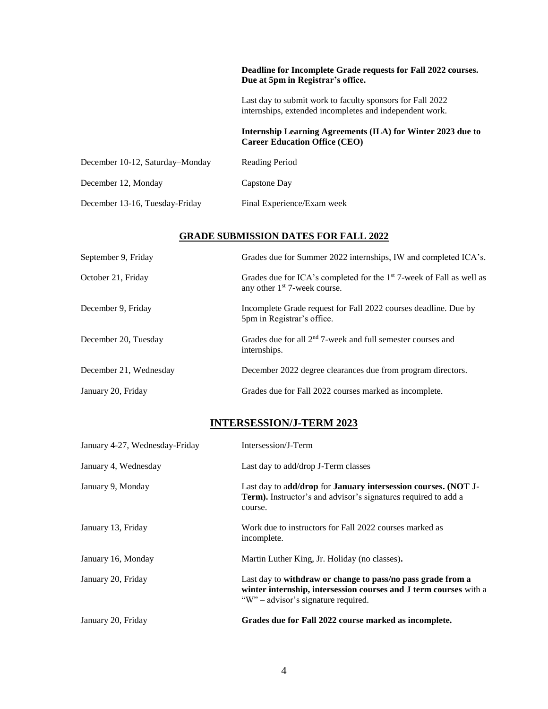|                                 | Deadline for Incomplete Grade requests for Fall 2022 courses.<br>Due at 5pm in Registrar's office.                   |
|---------------------------------|----------------------------------------------------------------------------------------------------------------------|
|                                 | Last day to submit work to faculty sponsors for Fall 2022<br>internships, extended incompletes and independent work. |
|                                 | Internship Learning Agreements (ILA) for Winter 2023 due to<br><b>Career Education Office (CEO)</b>                  |
| December 10-12, Saturday–Monday | Reading Period                                                                                                       |
| December 12, Monday             | Capstone Day                                                                                                         |
| December 13-16, Tuesday-Friday  | Final Experience/Exam week                                                                                           |

#### **GRADE SUBMISSION DATES FOR FALL 2022**

| September 9, Friday    | Grades due for Summer 2022 internships, IW and completed ICA's.                                                              |
|------------------------|------------------------------------------------------------------------------------------------------------------------------|
| October 21, Friday     | Grades due for ICA's completed for the 1 <sup>st</sup> 7-week of Fall as well as<br>any other 1 <sup>st</sup> 7-week course. |
| December 9, Friday     | Incomplete Grade request for Fall 2022 courses deadline. Due by<br>5pm in Registrar's office.                                |
| December 20, Tuesday   | Grades due for all $2nd$ 7-week and full semester courses and<br>internships.                                                |
| December 21, Wednesday | December 2022 degree clearances due from program directors.                                                                  |
| January 20, Friday     | Grades due for Fall 2022 courses marked as incomplete.                                                                       |

# **INTERSESSION/J-TERM 2023**

| January 4-27, Wednesday-Friday | Intersession/J-Term                                                                                                                                                     |
|--------------------------------|-------------------------------------------------------------------------------------------------------------------------------------------------------------------------|
| January 4, Wednesday           | Last day to add/drop J-Term classes                                                                                                                                     |
| January 9, Monday              | Last day to add/drop for January intersession courses. (NOT J-<br>Term). Instructor's and advisor's signatures required to add a<br>course.                             |
| January 13, Friday             | Work due to instructors for Fall 2022 courses marked as<br>incomplete.                                                                                                  |
| January 16, Monday             | Martin Luther King, Jr. Holiday (no classes).                                                                                                                           |
| January 20, Friday             | Last day to withdraw or change to pass/no pass grade from a<br>winter internship, intersession courses and J term courses with a<br>"W" – advisor's signature required. |
| January 20, Friday             | Grades due for Fall 2022 course marked as incomplete.                                                                                                                   |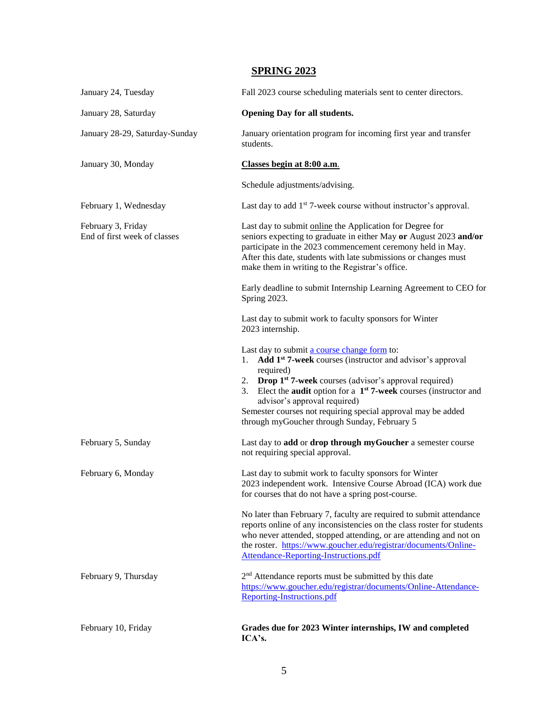# **SPRING 2023**

| January 24, Tuesday                                | Fall 2023 course scheduling materials sent to center directors.                                                                                                                                                                                                                                                                                                                                                                                |
|----------------------------------------------------|------------------------------------------------------------------------------------------------------------------------------------------------------------------------------------------------------------------------------------------------------------------------------------------------------------------------------------------------------------------------------------------------------------------------------------------------|
| January 28, Saturday                               | <b>Opening Day for all students.</b>                                                                                                                                                                                                                                                                                                                                                                                                           |
| January 28-29, Saturday-Sunday                     | January orientation program for incoming first year and transfer<br>students.                                                                                                                                                                                                                                                                                                                                                                  |
| January 30, Monday                                 | Classes begin at 8:00 a.m.                                                                                                                                                                                                                                                                                                                                                                                                                     |
|                                                    | Schedule adjustments/advising.                                                                                                                                                                                                                                                                                                                                                                                                                 |
| February 1, Wednesday                              | Last day to add 1 <sup>st</sup> 7-week course without instructor's approval.                                                                                                                                                                                                                                                                                                                                                                   |
| February 3, Friday<br>End of first week of classes | Last day to submit online the Application for Degree for<br>seniors expecting to graduate in either May or August 2023 and/or<br>participate in the 2023 commencement ceremony held in May.<br>After this date, students with late submissions or changes must<br>make them in writing to the Registrar's office.                                                                                                                              |
|                                                    | Early deadline to submit Internship Learning Agreement to CEO for<br>Spring 2023.                                                                                                                                                                                                                                                                                                                                                              |
|                                                    | Last day to submit work to faculty sponsors for Winter<br>2023 internship.                                                                                                                                                                                                                                                                                                                                                                     |
|                                                    | Last day to submit a course change form to:<br>Add 1 <sup>st</sup> 7-week courses (instructor and advisor's approval<br>1.<br>required)<br>2. Drop 1 <sup>st</sup> 7-week courses (advisor's approval required)<br>3. Elect the <b>audit</b> option for a $1st$ 7-week courses (instructor and<br>advisor's approval required)<br>Semester courses not requiring special approval may be added<br>through myGoucher through Sunday, February 5 |
| February 5, Sunday                                 | Last day to add or drop through myGoucher a semester course<br>not requiring special approval.                                                                                                                                                                                                                                                                                                                                                 |
| February 6, Monday                                 | Last day to submit work to faculty sponsors for Winter<br>2023 independent work. Intensive Course Abroad (ICA) work due<br>for courses that do not have a spring post-course.                                                                                                                                                                                                                                                                  |
|                                                    | No later than February 7, faculty are required to submit attendance<br>reports online of any inconsistencies on the class roster for students<br>who never attended, stopped attending, or are attending and not on<br>the roster. https://www.goucher.edu/registrar/documents/Online-<br>Attendance-Reporting-Instructions.pdf                                                                                                                |
| February 9, Thursday                               | 2 <sup>nd</sup> Attendance reports must be submitted by this date<br>https://www.goucher.edu/registrar/documents/Online-Attendance-<br>Reporting-Instructions.pdf                                                                                                                                                                                                                                                                              |
| February 10, Friday                                | Grades due for 2023 Winter internships, IW and completed<br>ICA's.                                                                                                                                                                                                                                                                                                                                                                             |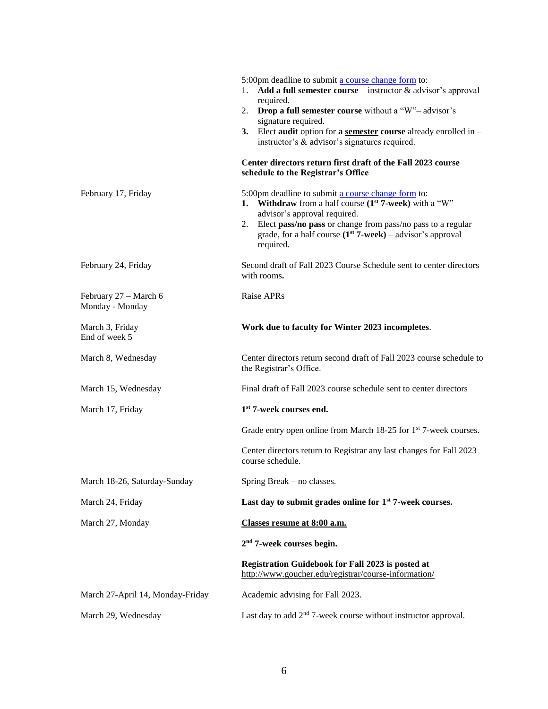|                                          | 5:00pm deadline to submit a course change form to:<br>Add a full semester course $-$ instructor $\&$ advisor's approval<br>1.<br>required.                                                                                                                                                        |
|------------------------------------------|---------------------------------------------------------------------------------------------------------------------------------------------------------------------------------------------------------------------------------------------------------------------------------------------------|
|                                          | 2. Drop a full semester course without a "W"- advisor's                                                                                                                                                                                                                                           |
|                                          | signature required.<br>3.<br>Elect audit option for a semester course already enrolled in $-$<br>instructor's & advisor's signatures required.                                                                                                                                                    |
|                                          | Center directors return first draft of the Fall 2023 course<br>schedule to the Registrar's Office                                                                                                                                                                                                 |
| February 17, Friday                      | 5:00pm deadline to submit a course change form to:<br>1. Withdraw from a half course $(1st 7$ -week) with a "W" –<br>advisor's approval required.<br>2. Elect pass/no pass or change from pass/no pass to a regular<br>grade, for a half course $(1st 7$ -week) – advisor's approval<br>required. |
| February 24, Friday                      | Second draft of Fall 2023 Course Schedule sent to center directors<br>with rooms.                                                                                                                                                                                                                 |
| February 27 - March 6<br>Monday - Monday | Raise APRs                                                                                                                                                                                                                                                                                        |
| March 3, Friday<br>End of week 5         | Work due to faculty for Winter 2023 incompletes.                                                                                                                                                                                                                                                  |
| March 8, Wednesday                       | Center directors return second draft of Fall 2023 course schedule to<br>the Registrar's Office.                                                                                                                                                                                                   |
| March 15, Wednesday                      | Final draft of Fall 2023 course schedule sent to center directors                                                                                                                                                                                                                                 |
| March 17, Friday                         | 1 <sup>st</sup> 7-week courses end.                                                                                                                                                                                                                                                               |
|                                          | Grade entry open online from March 18-25 for 1 <sup>st</sup> 7-week courses.                                                                                                                                                                                                                      |
|                                          | Center directors return to Registrar any last changes for Fall 2023<br>course schedule.                                                                                                                                                                                                           |
| March 18-26, Saturday-Sunday             | Spring Break – no classes.                                                                                                                                                                                                                                                                        |
| March 24, Friday                         | Last day to submit grades online for 1 <sup>st</sup> 7-week courses.                                                                                                                                                                                                                              |
| March 27, Monday                         | Classes resume at 8:00 a.m.                                                                                                                                                                                                                                                                       |
|                                          | $2nd$ 7-week courses begin.                                                                                                                                                                                                                                                                       |
|                                          | Registration Guidebook for Fall 2023 is posted at<br>http://www.goucher.edu/registrar/course-information/                                                                                                                                                                                         |
| March 27-April 14, Monday-Friday         | Academic advising for Fall 2023.                                                                                                                                                                                                                                                                  |
| March 29, Wednesday                      | Last day to add $2nd$ 7-week course without instructor approval.                                                                                                                                                                                                                                  |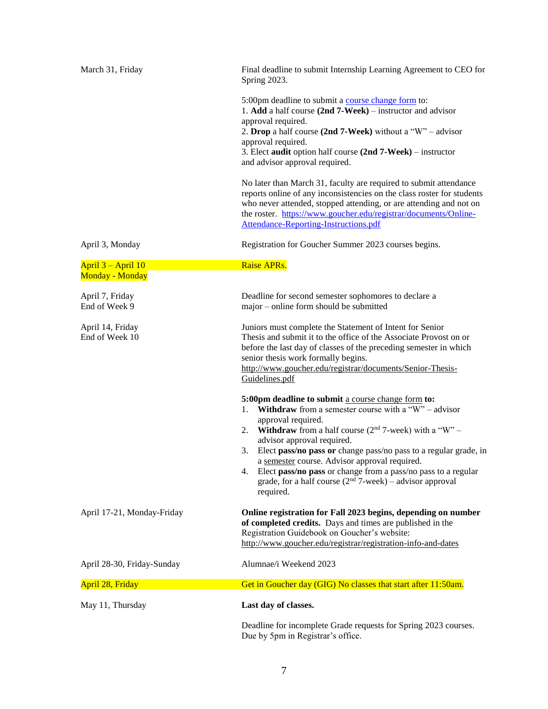|                                              | Deadline for incomplete Grade requests for Spring 2023 courses.                                                                                                                                                                                                                                                                                                                                                                                                                                                                                                                                                                                                                                                              |
|----------------------------------------------|------------------------------------------------------------------------------------------------------------------------------------------------------------------------------------------------------------------------------------------------------------------------------------------------------------------------------------------------------------------------------------------------------------------------------------------------------------------------------------------------------------------------------------------------------------------------------------------------------------------------------------------------------------------------------------------------------------------------------|
| May 11, Thursday                             | Last day of classes.                                                                                                                                                                                                                                                                                                                                                                                                                                                                                                                                                                                                                                                                                                         |
| April 28, Friday                             | Get in Goucher day (GIG) No classes that start after 11:50am.                                                                                                                                                                                                                                                                                                                                                                                                                                                                                                                                                                                                                                                                |
| April 28-30, Friday-Sunday                   | Alumnae/i Weekend 2023                                                                                                                                                                                                                                                                                                                                                                                                                                                                                                                                                                                                                                                                                                       |
| April 17-21, Monday-Friday                   | Online registration for Fall 2023 begins, depending on number<br>of completed credits. Days and times are published in the<br>Registration Guidebook on Goucher's website:<br>http://www.goucher.edu/registrar/registration-info-and-dates                                                                                                                                                                                                                                                                                                                                                                                                                                                                                   |
|                                              | before the last day of classes of the preceding semester in which<br>senior thesis work formally begins.<br>http://www.goucher.edu/registrar/documents/Senior-Thesis-<br>Guidelines.pdf<br>5:00pm deadline to submit a course change form to:<br><b>Withdraw</b> from a semester course with a "W" – advisor<br>1.<br>approval required.<br><b>Withdraw</b> from a half course $(2nd 7$ -week) with a "W" –<br>2.<br>advisor approval required.<br>Elect pass/no pass or change pass/no pass to a regular grade, in<br>3.<br>a semester course. Advisor approval required.<br>Elect pass/no pass or change from a pass/no pass to a regular<br>4.<br>grade, for a half course $(2nd 7-week)$ – advisor approval<br>required. |
| April 14, Friday<br>End of Week 10           | Juniors must complete the Statement of Intent for Senior<br>Thesis and submit it to the office of the Associate Provost on or                                                                                                                                                                                                                                                                                                                                                                                                                                                                                                                                                                                                |
| April 7, Friday<br>End of Week 9             | Deadline for second semester sophomores to declare a<br>major - online form should be submitted                                                                                                                                                                                                                                                                                                                                                                                                                                                                                                                                                                                                                              |
| April 3 – April 10<br><b>Monday - Monday</b> | Raise APRs.                                                                                                                                                                                                                                                                                                                                                                                                                                                                                                                                                                                                                                                                                                                  |
| April 3, Monday                              | Registration for Goucher Summer 2023 courses begins.                                                                                                                                                                                                                                                                                                                                                                                                                                                                                                                                                                                                                                                                         |
|                                              | approval required.<br>3. Elect audit option half course (2nd 7-Week) – instructor<br>and advisor approval required.<br>No later than March 31, faculty are required to submit attendance<br>reports online of any inconsistencies on the class roster for students<br>who never attended, stopped attending, or are attending and not on<br>the roster. https://www.goucher.edu/registrar/documents/Online-<br>Attendance-Reporting-Instructions.pdf                                                                                                                                                                                                                                                                         |
|                                              | 5:00pm deadline to submit a course change form to:<br>1. Add a half course $(2nd 7-Week)$ – instructor and advisor<br>approval required.<br>2. Drop a half course (2nd 7-Week) without a "W" – advisor                                                                                                                                                                                                                                                                                                                                                                                                                                                                                                                       |
| March 31, Friday                             | Final deadline to submit Internship Learning Agreement to CEO for<br>Spring 2023.                                                                                                                                                                                                                                                                                                                                                                                                                                                                                                                                                                                                                                            |

7

Due by 5pm in Registrar's office.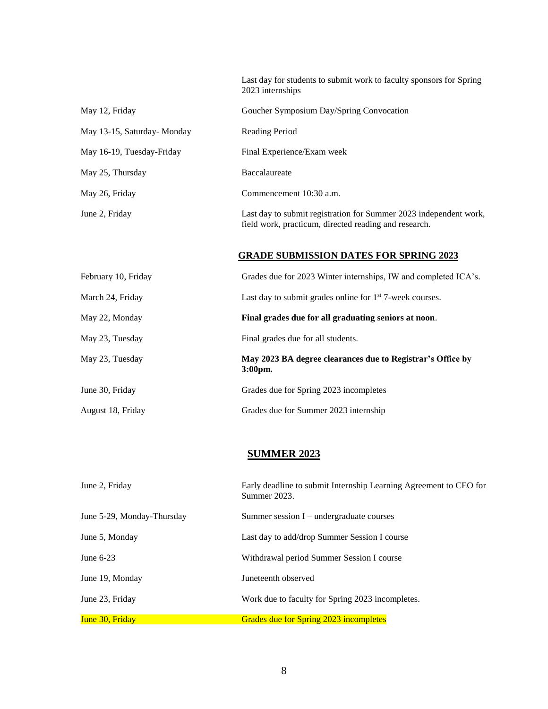Last day for students to submit work to faculty sponsors for Spring 2023 internships

| May 12, Friday             | Goucher Symposium Day/Spring Convocation                                                                                   |
|----------------------------|----------------------------------------------------------------------------------------------------------------------------|
| May 13-15, Saturday-Monday | Reading Period                                                                                                             |
| May 16-19, Tuesday-Friday  | Final Experience/Exam week                                                                                                 |
| May 25, Thursday           | Baccalaureate                                                                                                              |
| May 26, Friday             | Commencement 10:30 a.m.                                                                                                    |
| June 2, Friday             | Last day to submit registration for Summer 2023 independent work,<br>field work, practicum, directed reading and research. |

#### **GRADE SUBMISSION DATES FOR SPRING 2023**

| February 10, Friday | Grades due for 2023 Winter internships, IW and completed ICA's.          |
|---------------------|--------------------------------------------------------------------------|
| March 24, Friday    | Last day to submit grades online for $1st$ 7-week courses.               |
| May 22, Monday      | Final grades due for all graduating seniors at noon.                     |
| May 23, Tuesday     | Final grades due for all students.                                       |
| May 23, Tuesday     | May 2023 BA degree clearances due to Registrar's Office by<br>$3:00pm$ . |
| June 30, Friday     | Grades due for Spring 2023 incompletes                                   |
| August 18, Friday   | Grades due for Summer 2023 internship                                    |

#### **SUMMER 2023**

| June 2, Friday             | Early deadline to submit Internship Learning Agreement to CEO for<br>Summer 2023. |
|----------------------------|-----------------------------------------------------------------------------------|
| June 5-29, Monday-Thursday | Summer session $I$ – undergraduate courses                                        |
| June 5, Monday             | Last day to add/drop Summer Session I course                                      |
| June $6-23$                | Withdrawal period Summer Session I course                                         |
| June 19, Monday            | Juneteenth observed                                                               |
| June 23, Friday            | Work due to faculty for Spring 2023 incompletes.                                  |
| June 30, Friday            | Grades due for Spring 2023 incompletes                                            |